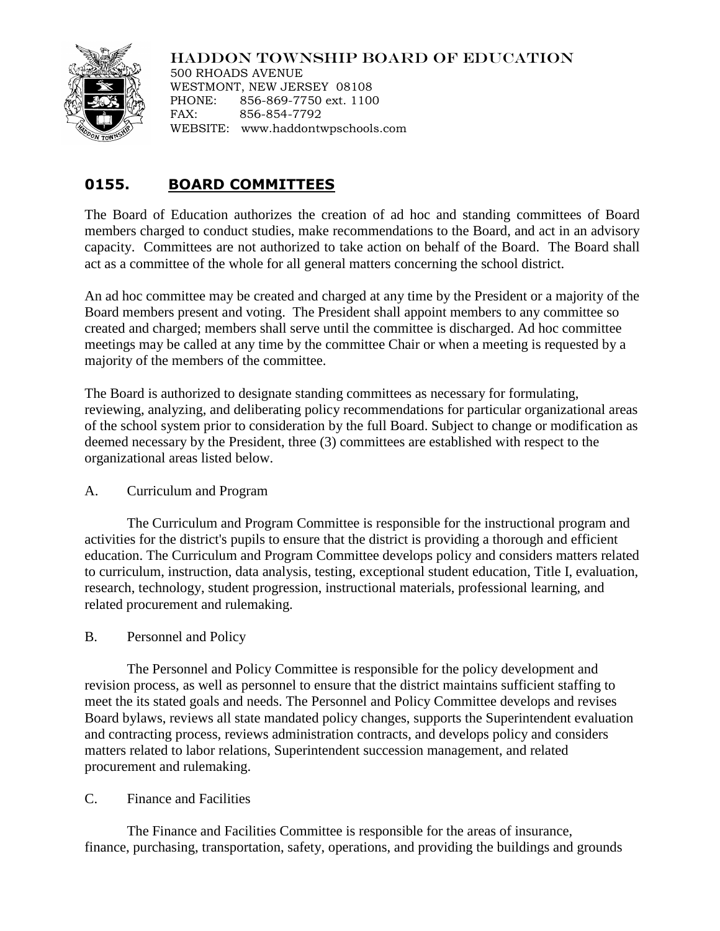# HADDON TOWNSHIP BOARD OF EDUCATION



500 RHOADS AVENUE WESTMONT, NEW JERSEY 08108 PHONE: 856-869-7750 ext. 1100 FAX: 856-854-7792 WEBSITE: www.haddontwpschools.com

# **0155. BOARD COMMITTEES**

The Board of Education authorizes the creation of ad hoc and standing committees of Board members charged to conduct studies, make recommendations to the Board, and act in an advisory capacity. Committees are not authorized to take action on behalf of the Board. The Board shall act as a committee of the whole for all general matters concerning the school district.

An ad hoc committee may be created and charged at any time by the President or a majority of the Board members present and voting. The President shall appoint members to any committee so created and charged; members shall serve until the committee is discharged. Ad hoc committee meetings may be called at any time by the committee Chair or when a meeting is requested by a majority of the members of the committee.

The Board is authorized to designate standing committees as necessary for formulating, reviewing, analyzing, and deliberating policy recommendations for particular organizational areas of the school system prior to consideration by the full Board. Subject to change or modification as deemed necessary by the President, three (3) committees are established with respect to the organizational areas listed below.

#### A. Curriculum and Program

The Curriculum and Program Committee is responsible for the instructional program and activities for the district's pupils to ensure that the district is providing a thorough and efficient education. The Curriculum and Program Committee develops policy and considers matters related to curriculum, instruction, data analysis, testing, exceptional student education, Title I, evaluation, research, technology, student progression, instructional materials, professional learning, and related procurement and rulemaking.

#### B. Personnel and Policy

The Personnel and Policy Committee is responsible for the policy development and revision process, as well as personnel to ensure that the district maintains sufficient staffing to meet the its stated goals and needs. The Personnel and Policy Committee develops and revises Board bylaws, reviews all state mandated policy changes, supports the Superintendent evaluation and contracting process, reviews administration contracts, and develops policy and considers matters related to labor relations, Superintendent succession management, and related procurement and rulemaking.

#### C. Finance and Facilities

The Finance and Facilities Committee is responsible for the areas of insurance, finance, purchasing, transportation, safety, operations, and providing the buildings and grounds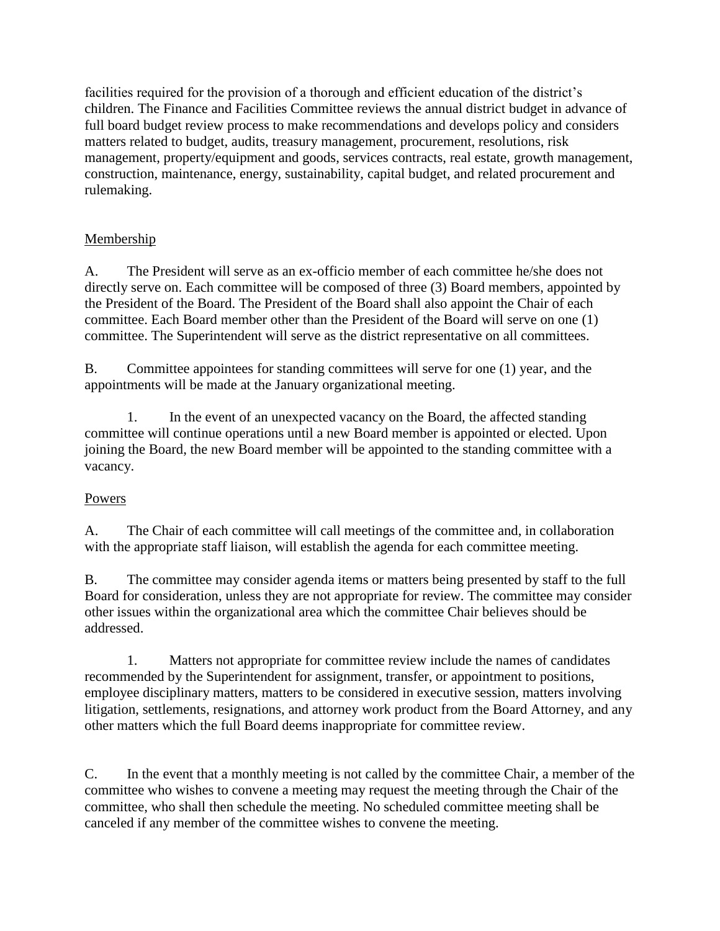facilities required for the provision of a thorough and efficient education of the district's children. The Finance and Facilities Committee reviews the annual district budget in advance of full board budget review process to make recommendations and develops policy and considers matters related to budget, audits, treasury management, procurement, resolutions, risk management, property/equipment and goods, services contracts, real estate, growth management, construction, maintenance, energy, sustainability, capital budget, and related procurement and rulemaking.

# **Membership**

A. The President will serve as an ex-officio member of each committee he/she does not directly serve on. Each committee will be composed of three (3) Board members, appointed by the President of the Board. The President of the Board shall also appoint the Chair of each committee. Each Board member other than the President of the Board will serve on one (1) committee. The Superintendent will serve as the district representative on all committees.

B. Committee appointees for standing committees will serve for one (1) year, and the appointments will be made at the January organizational meeting.

1. In the event of an unexpected vacancy on the Board, the affected standing committee will continue operations until a new Board member is appointed or elected. Upon joining the Board, the new Board member will be appointed to the standing committee with a vacancy.

# Powers

A. The Chair of each committee will call meetings of the committee and, in collaboration with the appropriate staff liaison, will establish the agenda for each committee meeting.

B. The committee may consider agenda items or matters being presented by staff to the full Board for consideration, unless they are not appropriate for review. The committee may consider other issues within the organizational area which the committee Chair believes should be addressed.

1. Matters not appropriate for committee review include the names of candidates recommended by the Superintendent for assignment, transfer, or appointment to positions, employee disciplinary matters, matters to be considered in executive session, matters involving litigation, settlements, resignations, and attorney work product from the Board Attorney, and any other matters which the full Board deems inappropriate for committee review.

C. In the event that a monthly meeting is not called by the committee Chair, a member of the committee who wishes to convene a meeting may request the meeting through the Chair of the committee, who shall then schedule the meeting. No scheduled committee meeting shall be canceled if any member of the committee wishes to convene the meeting.